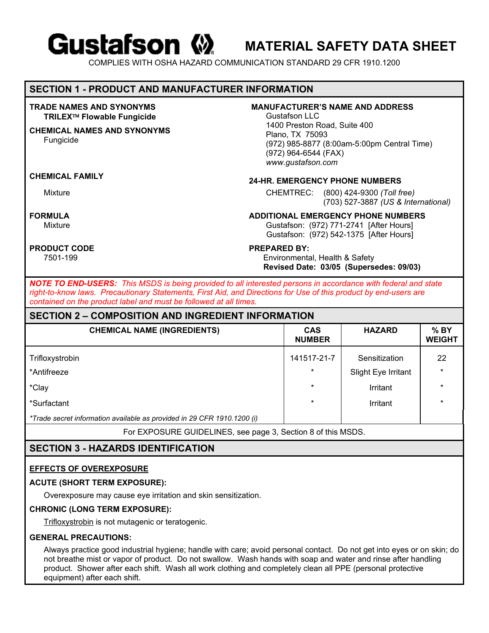# **Gustafson (2)**

**MATERIAL SAFETY DATA SHEET** 

COMPLIES WITH OSHA HAZARD COMMUNICATION STANDARD 29 CFR 1910.1200

# **SECTION 1 - PRODUCT AND MANUFACTURER INFORMATION**

### **TRADE NAMES AND SYNONYMS TRILEX Flowable Fungicide**

# **CHEMICAL NAMES AND SYNONYMS**

Fungicide

# **PRODUCT CODE PRODUCT ASSESSED BY:**

# **MANUFACTURER'S NAME AND ADDRESS**

Gustafson LLC 1400 Preston Road, Suite 400 Plano, TX 75093 (972) 985-8877 (8:00am-5:00pm Central Time) (972) 964-6544 (FAX) *www.gustafson.com* 

# **CHEMICAL FAMILY 24-HR. EMERGENCY PHONE NUMBERS**

Mixture CHEMTREC: (800) 424-9300 *(Toll free)*  (703) 527-3887 *(US & International)*

# **FORMULA**<br> **ADDITIONAL EMERGENCY PHONE NUMBERS**<br>
Gustafson: (972) 771-2741 [After Hours]

Gustafson: (972) 771-2741 [After Hours] Gustafson: (972) 542-1375 [After Hours]

7501-199 Environmental, Health & Safety **Revised Date: 03/05 (Supersedes: 09/03)**

*NOTE TO END-USERS: This MSDS is being provided to all interested persons in accordance with federal and state right-to-know laws. Precautionary Statements, First Aid, and Directions for Use of this product by end-users are contained on the product label and must be followed at all times.* 

# **SECTION 2 – COMPOSITION AND INGREDIENT INFORMATION**

| <b>CHEMICAL NAME (INGREDIENTS)</b>                                      | <b>CAS</b><br><b>NUMBER</b> | <b>HAZARD</b>       | $%$ BY<br><b>WEIGHT</b> |
|-------------------------------------------------------------------------|-----------------------------|---------------------|-------------------------|
| Trifloxystrobin                                                         | 141517-21-7                 | Sensitization       | 22                      |
| *Antifreeze                                                             | $\star$                     | Slight Eye Irritant | $\star$                 |
| *Clay                                                                   | $\star$                     | Irritant            | $\star$                 |
| *Surfactant                                                             | $\star$                     | Irritant            | $\star$                 |
| *Trade secret information available as provided in 29 CFR 1910.1200 (i) |                             |                     |                         |

For EXPOSURE GUIDELINES, see page 3, Section 8 of this MSDS.

# **SECTION 3 - HAZARDS IDENTIFICATION**

# **EFFECTS OF OVEREXPOSURE**

# **ACUTE (SHORT TERM EXPOSURE):**

Overexposure may cause eye irritation and skin sensitization.

# **CHRONIC (LONG TERM EXPOSURE):**

Trifloxystrobin is not mutagenic or teratogenic.

### **GENERAL PRECAUTIONS:**

Always practice good industrial hygiene; handle with care; avoid personal contact. Do not get into eyes or on skin; do not breathe mist or vapor of product. Do not swallow. Wash hands with soap and water and rinse after handling product. Shower after each shift. Wash all work clothing and completely clean all PPE (personal protective equipment) after each shift.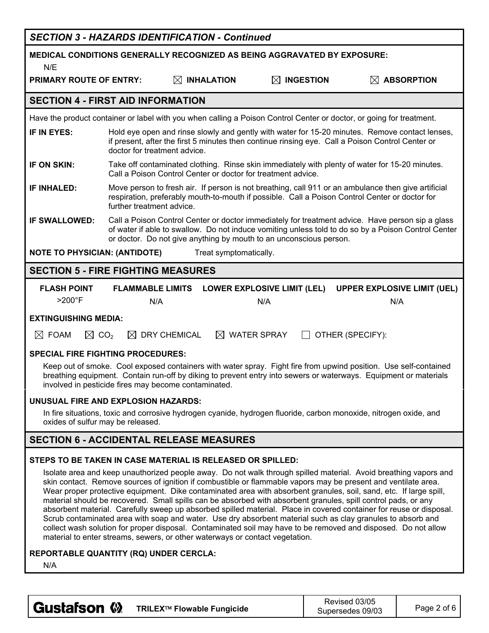|                                                                                                                                                                                                                                                                                                                                                                                                                                                                                                                                                                                                                                                                                                                                                                                                                                                                                                                    |                                | <b>SECTION 3 - HAZARDS IDENTIFICATION - Continued</b>        |                                                                                                                      |                                                                                                                                                                                                                                      |  |  |
|--------------------------------------------------------------------------------------------------------------------------------------------------------------------------------------------------------------------------------------------------------------------------------------------------------------------------------------------------------------------------------------------------------------------------------------------------------------------------------------------------------------------------------------------------------------------------------------------------------------------------------------------------------------------------------------------------------------------------------------------------------------------------------------------------------------------------------------------------------------------------------------------------------------------|--------------------------------|--------------------------------------------------------------|----------------------------------------------------------------------------------------------------------------------|--------------------------------------------------------------------------------------------------------------------------------------------------------------------------------------------------------------------------------------|--|--|
| <b>MEDICAL CONDITIONS GENERALLY RECOGNIZED AS BEING AGGRAVATED BY EXPOSURE:</b><br>N/E                                                                                                                                                                                                                                                                                                                                                                                                                                                                                                                                                                                                                                                                                                                                                                                                                             |                                |                                                              |                                                                                                                      |                                                                                                                                                                                                                                      |  |  |
| <b>PRIMARY ROUTE OF ENTRY:</b>                                                                                                                                                                                                                                                                                                                                                                                                                                                                                                                                                                                                                                                                                                                                                                                                                                                                                     |                                | $\boxtimes$ INHALATION                                       | $\boxtimes$ ingestion                                                                                                | $\boxtimes$ ABSORPTION                                                                                                                                                                                                               |  |  |
| <b>SECTION 4 - FIRST AID INFORMATION</b>                                                                                                                                                                                                                                                                                                                                                                                                                                                                                                                                                                                                                                                                                                                                                                                                                                                                           |                                |                                                              |                                                                                                                      |                                                                                                                                                                                                                                      |  |  |
|                                                                                                                                                                                                                                                                                                                                                                                                                                                                                                                                                                                                                                                                                                                                                                                                                                                                                                                    |                                |                                                              | Have the product container or label with you when calling a Poison Control Center or doctor, or going for treatment. |                                                                                                                                                                                                                                      |  |  |
| IF IN EYES:                                                                                                                                                                                                                                                                                                                                                                                                                                                                                                                                                                                                                                                                                                                                                                                                                                                                                                        | doctor for treatment advice.   |                                                              | if present, after the first 5 minutes then continue rinsing eye. Call a Poison Control Center or                     | Hold eye open and rinse slowly and gently with water for 15-20 minutes. Remove contact lenses,                                                                                                                                       |  |  |
| IF ON SKIN:                                                                                                                                                                                                                                                                                                                                                                                                                                                                                                                                                                                                                                                                                                                                                                                                                                                                                                        |                                | Call a Poison Control Center or doctor for treatment advice. |                                                                                                                      | Take off contaminated clothing. Rinse skin immediately with plenty of water for 15-20 minutes.                                                                                                                                       |  |  |
| <b>IF INHALED:</b>                                                                                                                                                                                                                                                                                                                                                                                                                                                                                                                                                                                                                                                                                                                                                                                                                                                                                                 | further treatment advice.      |                                                              | respiration, preferably mouth-to-mouth if possible. Call a Poison Control Center or doctor for                       | Move person to fresh air. If person is not breathing, call 911 or an ambulance then give artificial                                                                                                                                  |  |  |
| <b>IF SWALLOWED:</b>                                                                                                                                                                                                                                                                                                                                                                                                                                                                                                                                                                                                                                                                                                                                                                                                                                                                                               |                                |                                                              | or doctor. Do not give anything by mouth to an unconscious person.                                                   | Call a Poison Control Center or doctor immediately for treatment advice. Have person sip a glass<br>of water if able to swallow. Do not induce vomiting unless told to do so by a Poison Control Center                              |  |  |
| <b>NOTE TO PHYSICIAN: (ANTIDOTE)</b>                                                                                                                                                                                                                                                                                                                                                                                                                                                                                                                                                                                                                                                                                                                                                                                                                                                                               |                                | Treat symptomatically.                                       |                                                                                                                      |                                                                                                                                                                                                                                      |  |  |
| <b>SECTION 5 - FIRE FIGHTING MEASURES</b>                                                                                                                                                                                                                                                                                                                                                                                                                                                                                                                                                                                                                                                                                                                                                                                                                                                                          |                                |                                                              |                                                                                                                      |                                                                                                                                                                                                                                      |  |  |
| <b>FLASH POINT</b><br>$>200^\circ F$                                                                                                                                                                                                                                                                                                                                                                                                                                                                                                                                                                                                                                                                                                                                                                                                                                                                               | <b>FLAMMABLE LIMITS</b><br>N/A |                                                              | <b>LOWER EXPLOSIVE LIMIT (LEL)</b><br>N/A                                                                            | <b>UPPER EXPLOSIVE LIMIT (UEL)</b><br>N/A                                                                                                                                                                                            |  |  |
| <b>EXTINGUISHING MEDIA:</b>                                                                                                                                                                                                                                                                                                                                                                                                                                                                                                                                                                                                                                                                                                                                                                                                                                                                                        |                                |                                                              |                                                                                                                      |                                                                                                                                                                                                                                      |  |  |
| $\boxtimes$ CO <sub>2</sub><br>$\boxtimes$ FOAM                                                                                                                                                                                                                                                                                                                                                                                                                                                                                                                                                                                                                                                                                                                                                                                                                                                                    | $\boxtimes$                    | <b>DRY CHEMICAL</b>                                          | $\boxtimes$ WATER SPRAY                                                                                              | OTHER (SPECIFY):                                                                                                                                                                                                                     |  |  |
| <b>SPECIAL FIRE FIGHTING PROCEDURES:</b>                                                                                                                                                                                                                                                                                                                                                                                                                                                                                                                                                                                                                                                                                                                                                                                                                                                                           |                                |                                                              |                                                                                                                      |                                                                                                                                                                                                                                      |  |  |
|                                                                                                                                                                                                                                                                                                                                                                                                                                                                                                                                                                                                                                                                                                                                                                                                                                                                                                                    |                                | involved in pesticide fires may become contaminated.         |                                                                                                                      | Keep out of smoke. Cool exposed containers with water spray. Fight fire from upwind position. Use self-contained<br>breathing equipment. Contain run-off by diking to prevent entry into sewers or waterways. Equipment or materials |  |  |
| <b>UNUSUAL FIRE AND EXPLOSION HAZARDS:</b>                                                                                                                                                                                                                                                                                                                                                                                                                                                                                                                                                                                                                                                                                                                                                                                                                                                                         |                                |                                                              |                                                                                                                      |                                                                                                                                                                                                                                      |  |  |
| In fire situations, toxic and corrosive hydrogen cyanide, hydrogen fluoride, carbon monoxide, nitrogen oxide, and<br>oxides of sulfur may be released.                                                                                                                                                                                                                                                                                                                                                                                                                                                                                                                                                                                                                                                                                                                                                             |                                |                                                              |                                                                                                                      |                                                                                                                                                                                                                                      |  |  |
| <b>SECTION 6 - ACCIDENTAL RELEASE MEASURES</b>                                                                                                                                                                                                                                                                                                                                                                                                                                                                                                                                                                                                                                                                                                                                                                                                                                                                     |                                |                                                              |                                                                                                                      |                                                                                                                                                                                                                                      |  |  |
|                                                                                                                                                                                                                                                                                                                                                                                                                                                                                                                                                                                                                                                                                                                                                                                                                                                                                                                    |                                | STEPS TO BE TAKEN IN CASE MATERIAL IS RELEASED OR SPILLED:   |                                                                                                                      |                                                                                                                                                                                                                                      |  |  |
| Isolate area and keep unauthorized people away. Do not walk through spilled material. Avoid breathing vapors and<br>skin contact. Remove sources of ignition if combustible or flammable vapors may be present and ventilate area.<br>Wear proper protective equipment. Dike contaminated area with absorbent granules, soil, sand, etc. If large spill,<br>material should be recovered. Small spills can be absorbed with absorbent granules, spill control pads, or any<br>absorbent material. Carefully sweep up absorbed spilled material. Place in covered container for reuse or disposal.<br>Scrub contaminated area with soap and water. Use dry absorbent material such as clay granules to absorb and<br>collect wash solution for proper disposal. Contaminated soil may have to be removed and disposed. Do not allow<br>material to enter streams, sewers, or other waterways or contact vegetation. |                                |                                                              |                                                                                                                      |                                                                                                                                                                                                                                      |  |  |
| REPORTABLE QUANTITY (RQ) UNDER CERCLA:<br>N/A                                                                                                                                                                                                                                                                                                                                                                                                                                                                                                                                                                                                                                                                                                                                                                                                                                                                      |                                |                                                              |                                                                                                                      |                                                                                                                                                                                                                                      |  |  |

| <b>Gustafson W</b><br>TRILEX™ Flowable Fungicide | Revised 03/05<br>Supersedes 09/03 | Page 2 of 6 |
|--------------------------------------------------|-----------------------------------|-------------|
|--------------------------------------------------|-----------------------------------|-------------|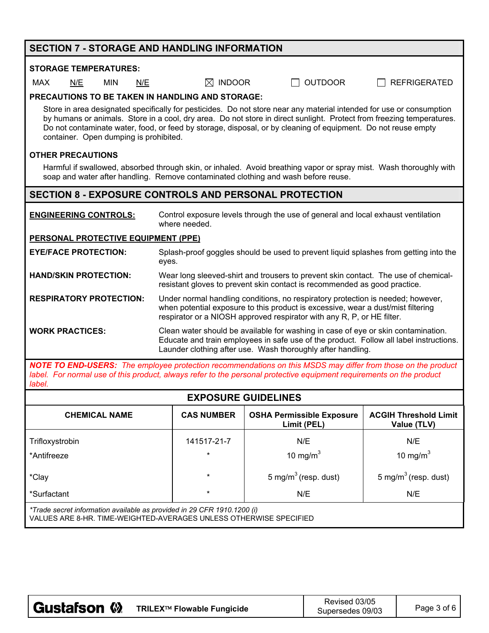| <b>SECTION 7 - STORAGE AND HANDLING INFORMATION</b>                                                                                                                                                                                                                                                                                                                                                      |                                                                                                                                                                                                                                               |                                                 |                                             |  |  |  |
|----------------------------------------------------------------------------------------------------------------------------------------------------------------------------------------------------------------------------------------------------------------------------------------------------------------------------------------------------------------------------------------------------------|-----------------------------------------------------------------------------------------------------------------------------------------------------------------------------------------------------------------------------------------------|-------------------------------------------------|---------------------------------------------|--|--|--|
| <b>STORAGE TEMPERATURES:</b>                                                                                                                                                                                                                                                                                                                                                                             |                                                                                                                                                                                                                                               |                                                 |                                             |  |  |  |
| MAX<br>N/E<br><b>MIN</b><br>N/E                                                                                                                                                                                                                                                                                                                                                                          | $\boxtimes$ INDOOR<br><b>OUTDOOR</b><br><b>REFRIGERATED</b>                                                                                                                                                                                   |                                                 |                                             |  |  |  |
| <b>PRECAUTIONS TO BE TAKEN IN HANDLING AND STORAGE:</b>                                                                                                                                                                                                                                                                                                                                                  |                                                                                                                                                                                                                                               |                                                 |                                             |  |  |  |
| Store in area designated specifically for pesticides. Do not store near any material intended for use or consumption<br>by humans or animals. Store in a cool, dry area. Do not store in direct sunlight. Protect from freezing temperatures.<br>Do not contaminate water, food, or feed by storage, disposal, or by cleaning of equipment. Do not reuse empty<br>container. Open dumping is prohibited. |                                                                                                                                                                                                                                               |                                                 |                                             |  |  |  |
| <b>OTHER PRECAUTIONS</b>                                                                                                                                                                                                                                                                                                                                                                                 |                                                                                                                                                                                                                                               |                                                 |                                             |  |  |  |
| Harmful if swallowed, absorbed through skin, or inhaled. Avoid breathing vapor or spray mist. Wash thoroughly with<br>soap and water after handling. Remove contaminated clothing and wash before reuse.                                                                                                                                                                                                 |                                                                                                                                                                                                                                               |                                                 |                                             |  |  |  |
| <b>SECTION 8 - EXPOSURE CONTROLS AND PERSONAL PROTECTION</b>                                                                                                                                                                                                                                                                                                                                             |                                                                                                                                                                                                                                               |                                                 |                                             |  |  |  |
| Control exposure levels through the use of general and local exhaust ventilation<br><b>ENGINEERING CONTROLS:</b><br>where needed.                                                                                                                                                                                                                                                                        |                                                                                                                                                                                                                                               |                                                 |                                             |  |  |  |
| PERSONAL PROTECTIVE EQUIPMENT (PPE)                                                                                                                                                                                                                                                                                                                                                                      |                                                                                                                                                                                                                                               |                                                 |                                             |  |  |  |
| Splash-proof goggles should be used to prevent liquid splashes from getting into the<br><b>EYE/FACE PROTECTION:</b><br>eyes.                                                                                                                                                                                                                                                                             |                                                                                                                                                                                                                                               |                                                 |                                             |  |  |  |
| Wear long sleeved-shirt and trousers to prevent skin contact. The use of chemical-<br><b>HAND/SKIN PROTECTION:</b><br>resistant gloves to prevent skin contact is recommended as good practice.                                                                                                                                                                                                          |                                                                                                                                                                                                                                               |                                                 |                                             |  |  |  |
| <b>RESPIRATORY PROTECTION:</b>                                                                                                                                                                                                                                                                                                                                                                           | Under normal handling conditions, no respiratory protection is needed; however,<br>when potential exposure to this product is excessive, wear a dust/mist filtering<br>respirator or a NIOSH approved respirator with any R, P, or HE filter. |                                                 |                                             |  |  |  |
| <b>WORK PRACTICES:</b>                                                                                                                                                                                                                                                                                                                                                                                   | Clean water should be available for washing in case of eye or skin contamination.<br>Educate and train employees in safe use of the product. Follow all label instructions.<br>Launder clothing after use. Wash thoroughly after handling.    |                                                 |                                             |  |  |  |
| <b>NOTE TO END-USERS:</b> The employee protection recommendations on this MSDS may differ from those on the product<br>label. For normal use of this product, always refer to the personal protective equipment requirements on the product<br>label.                                                                                                                                                    |                                                                                                                                                                                                                                               |                                                 |                                             |  |  |  |
| <b>EXPOSURE GUIDELINES</b>                                                                                                                                                                                                                                                                                                                                                                               |                                                                                                                                                                                                                                               |                                                 |                                             |  |  |  |
| <b>CHEMICAL NAME</b>                                                                                                                                                                                                                                                                                                                                                                                     | <b>CAS NUMBER</b>                                                                                                                                                                                                                             | <b>OSHA Permissible Exposure</b><br>Limit (PEL) | <b>ACGIH Threshold Limit</b><br>Value (TLV) |  |  |  |
| Trifloxystrobin                                                                                                                                                                                                                                                                                                                                                                                          | 141517-21-7<br>N/E<br>N/E                                                                                                                                                                                                                     |                                                 |                                             |  |  |  |
| *Antifreeze                                                                                                                                                                                                                                                                                                                                                                                              | 10 mg/ $m3$<br>10 mg/m $3$<br>$\star$                                                                                                                                                                                                         |                                                 |                                             |  |  |  |
| *Clay                                                                                                                                                                                                                                                                                                                                                                                                    | $\star$                                                                                                                                                                                                                                       | 5 mg/m <sup>3</sup> (resp. dust)                | 5 mg/m <sup>3</sup> (resp. dust)            |  |  |  |
| *Surfactant                                                                                                                                                                                                                                                                                                                                                                                              | $\star$                                                                                                                                                                                                                                       | N/E                                             | N/E                                         |  |  |  |
| *Trade secret information available as provided in 29 CFR 1910.1200 (i)                                                                                                                                                                                                                                                                                                                                  |                                                                                                                                                                                                                                               |                                                 |                                             |  |  |  |

VALUES ARE 8-HR. TIME-WEIGHTED-AVERAGES UNLESS OTHERWISE SPECIFIED

| <b>Gustafson 巛</b><br>TRILEX™ Flowable Fungicide | Supersedes 09/03 | Page 3 of 6 |
|--------------------------------------------------|------------------|-------------|
|--------------------------------------------------|------------------|-------------|

┱

٦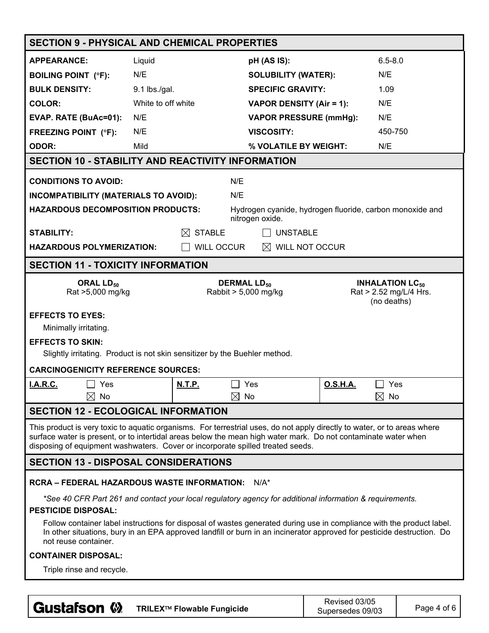| <b>SECTION 9 - PHYSICAL AND CHEMICAL PROPERTIES</b>                                                                                                                                                                                                                     |                                                                                                                                                                                                                                                                                                                              |                            |                                                       |                                                          |                |                                                             |
|-------------------------------------------------------------------------------------------------------------------------------------------------------------------------------------------------------------------------------------------------------------------------|------------------------------------------------------------------------------------------------------------------------------------------------------------------------------------------------------------------------------------------------------------------------------------------------------------------------------|----------------------------|-------------------------------------------------------|----------------------------------------------------------|----------------|-------------------------------------------------------------|
| <b>APPEARANCE:</b>                                                                                                                                                                                                                                                      | Liquid                                                                                                                                                                                                                                                                                                                       |                            | pH (AS IS):                                           |                                                          | $6.5 - 8.0$    |                                                             |
| <b>BOILING POINT (°F):</b>                                                                                                                                                                                                                                              | N/E                                                                                                                                                                                                                                                                                                                          |                            | <b>SOLUBILITY (WATER):</b>                            |                                                          | N/E            |                                                             |
| <b>BULK DENSITY:</b>                                                                                                                                                                                                                                                    | 9.1 lbs./gal.                                                                                                                                                                                                                                                                                                                |                            | <b>SPECIFIC GRAVITY:</b>                              |                                                          | 1.09           |                                                             |
| <b>COLOR:</b>                                                                                                                                                                                                                                                           | White to off white                                                                                                                                                                                                                                                                                                           |                            | <b>VAPOR DENSITY (Air = 1):</b>                       |                                                          | N/E            |                                                             |
| EVAP. RATE (BuAc=01):                                                                                                                                                                                                                                                   | N/E                                                                                                                                                                                                                                                                                                                          |                            | <b>VAPOR PRESSURE (mmHg):</b>                         |                                                          | N/E            |                                                             |
| <b>FREEZING POINT (°F):</b>                                                                                                                                                                                                                                             | N/E                                                                                                                                                                                                                                                                                                                          |                            | <b>VISCOSITY:</b>                                     |                                                          | 450-750        |                                                             |
| <b>ODOR:</b>                                                                                                                                                                                                                                                            | Mild                                                                                                                                                                                                                                                                                                                         |                            | % VOLATILE BY WEIGHT:                                 |                                                          | N/E            |                                                             |
| <b>SECTION 10 - STABILITY AND REACTIVITY INFORMATION</b>                                                                                                                                                                                                                |                                                                                                                                                                                                                                                                                                                              |                            |                                                       |                                                          |                |                                                             |
| <b>CONDITIONS TO AVOID:</b>                                                                                                                                                                                                                                             |                                                                                                                                                                                                                                                                                                                              | N/E                        |                                                       |                                                          |                |                                                             |
| <b>INCOMPATIBILITY (MATERIALS TO AVOID):</b>                                                                                                                                                                                                                            |                                                                                                                                                                                                                                                                                                                              | N/E                        |                                                       |                                                          |                |                                                             |
| <b>HAZARDOUS DECOMPOSITION PRODUCTS:</b>                                                                                                                                                                                                                                |                                                                                                                                                                                                                                                                                                                              |                            | nitrogen oxide.                                       | Hydrogen cyanide, hydrogen fluoride, carbon monoxide and |                |                                                             |
| <b>STABILITY:</b>                                                                                                                                                                                                                                                       |                                                                                                                                                                                                                                                                                                                              | <b>STABLE</b><br>IХI       | <b>UNSTABLE</b>                                       |                                                          |                |                                                             |
| <b>HAZARDOUS POLYMERIZATION:</b>                                                                                                                                                                                                                                        |                                                                                                                                                                                                                                                                                                                              | WILL OCCUR                 | $\boxtimes$ WILL NOT OCCUR                            |                                                          |                |                                                             |
| <b>SECTION 11 - TOXICITY INFORMATION</b>                                                                                                                                                                                                                                |                                                                                                                                                                                                                                                                                                                              |                            |                                                       |                                                          |                |                                                             |
|                                                                                                                                                                                                                                                                         |                                                                                                                                                                                                                                                                                                                              |                            |                                                       |                                                          |                |                                                             |
| ORAL LD <sub>50</sub><br>Rat >5,000 mg/kg                                                                                                                                                                                                                               |                                                                                                                                                                                                                                                                                                                              |                            | <b>DERMAL LD<sub>50</sub></b><br>Rabbit > 5,000 mg/kg |                                                          | (no deaths)    | <b>INHALATION LC<sub>50</sub></b><br>Rat > 2.52 mg/L/4 Hrs. |
| <b>EFFECTS TO EYES:</b>                                                                                                                                                                                                                                                 |                                                                                                                                                                                                                                                                                                                              |                            |                                                       |                                                          |                |                                                             |
| Minimally irritating.                                                                                                                                                                                                                                                   |                                                                                                                                                                                                                                                                                                                              |                            |                                                       |                                                          |                |                                                             |
| <b>EFFECTS TO SKIN:</b>                                                                                                                                                                                                                                                 |                                                                                                                                                                                                                                                                                                                              |                            |                                                       |                                                          |                |                                                             |
| Slightly irritating. Product is not skin sensitizer by the Buehler method.                                                                                                                                                                                              |                                                                                                                                                                                                                                                                                                                              |                            |                                                       |                                                          |                |                                                             |
| <b>CARCINOGENICITY REFERENCE SOURCES:</b>                                                                                                                                                                                                                               |                                                                                                                                                                                                                                                                                                                              |                            |                                                       |                                                          |                |                                                             |
| Yes<br><b>I.A.R.C.</b>                                                                                                                                                                                                                                                  |                                                                                                                                                                                                                                                                                                                              | <b>N.T.P.</b>              | Yes                                                   | <u>O.S.H.A.</u>                                          | Yes            |                                                             |
| $\boxtimes$<br>No                                                                                                                                                                                                                                                       |                                                                                                                                                                                                                                                                                                                              | ⊠                          | No                                                    |                                                          | $\boxtimes$ No |                                                             |
| <b>SECTION 12 - ECOLOGICAL INFORMATION</b>                                                                                                                                                                                                                              |                                                                                                                                                                                                                                                                                                                              |                            |                                                       |                                                          |                |                                                             |
|                                                                                                                                                                                                                                                                         | This product is very toxic to aquatic organisms. For terrestrial uses, do not apply directly to water, or to areas where<br>surface water is present, or to intertidal areas below the mean high water mark. Do not contaminate water when<br>disposing of equipment washwaters. Cover or incorporate spilled treated seeds. |                            |                                                       |                                                          |                |                                                             |
| <b>SECTION 13 - DISPOSAL CONSIDERATIONS</b>                                                                                                                                                                                                                             |                                                                                                                                                                                                                                                                                                                              |                            |                                                       |                                                          |                |                                                             |
| <b>RCRA – FEDERAL HAZARDOUS WASTE INFORMATION:</b>                                                                                                                                                                                                                      |                                                                                                                                                                                                                                                                                                                              |                            | $N/A^*$                                               |                                                          |                |                                                             |
|                                                                                                                                                                                                                                                                         |                                                                                                                                                                                                                                                                                                                              |                            |                                                       |                                                          |                |                                                             |
| *See 40 CFR Part 261 and contact your local regulatory agency for additional information & requirements.<br><b>PESTICIDE DISPOSAL:</b>                                                                                                                                  |                                                                                                                                                                                                                                                                                                                              |                            |                                                       |                                                          |                |                                                             |
| Follow container label instructions for disposal of wastes generated during use in compliance with the product label.<br>In other situations, bury in an EPA approved landfill or burn in an incinerator approved for pesticide destruction. Do<br>not reuse container. |                                                                                                                                                                                                                                                                                                                              |                            |                                                       |                                                          |                |                                                             |
| <b>CONTAINER DISPOSAL:</b>                                                                                                                                                                                                                                              |                                                                                                                                                                                                                                                                                                                              |                            |                                                       |                                                          |                |                                                             |
| Triple rinse and recycle.                                                                                                                                                                                                                                               |                                                                                                                                                                                                                                                                                                                              |                            |                                                       |                                                          |                |                                                             |
|                                                                                                                                                                                                                                                                         |                                                                                                                                                                                                                                                                                                                              |                            |                                                       |                                                          |                |                                                             |
| Gustafson <sup>(2)</sup>                                                                                                                                                                                                                                                |                                                                                                                                                                                                                                                                                                                              | TRILEX™ Flowable Fungicide |                                                       | Revised 03/05<br>Supersedes 09/03                        |                | Page 4 of 6                                                 |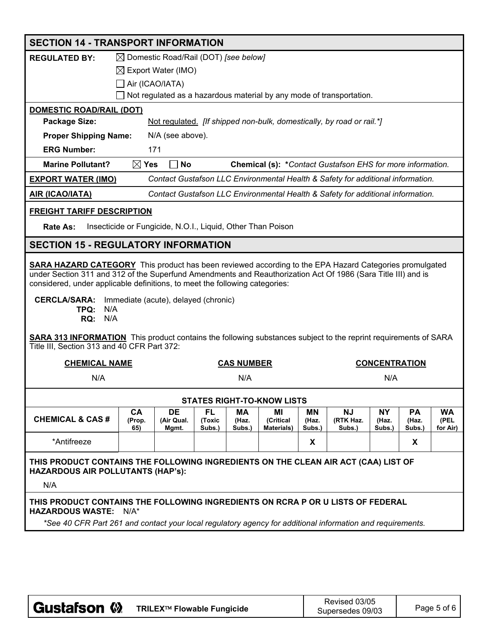|                                                                                                                                                                                                                                                                                                                                                                                                                                                                                                                                                                                        | <b>SECTION 14 - TRANSPORT INFORMATION</b> |                                                             |                  |                   |                                   |                 |                                                                                 |                      |                 |                  |
|----------------------------------------------------------------------------------------------------------------------------------------------------------------------------------------------------------------------------------------------------------------------------------------------------------------------------------------------------------------------------------------------------------------------------------------------------------------------------------------------------------------------------------------------------------------------------------------|-------------------------------------------|-------------------------------------------------------------|------------------|-------------------|-----------------------------------|-----------------|---------------------------------------------------------------------------------|----------------------|-----------------|------------------|
| <b>REGULATED BY:</b>                                                                                                                                                                                                                                                                                                                                                                                                                                                                                                                                                                   |                                           | $\boxtimes$ Domestic Road/Rail (DOT) [see below]            |                  |                   |                                   |                 |                                                                                 |                      |                 |                  |
|                                                                                                                                                                                                                                                                                                                                                                                                                                                                                                                                                                                        | $\boxtimes$ Export Water (IMO)            |                                                             |                  |                   |                                   |                 |                                                                                 |                      |                 |                  |
|                                                                                                                                                                                                                                                                                                                                                                                                                                                                                                                                                                                        | Air (ICAO/IATA)                           |                                                             |                  |                   |                                   |                 |                                                                                 |                      |                 |                  |
|                                                                                                                                                                                                                                                                                                                                                                                                                                                                                                                                                                                        |                                           |                                                             |                  |                   |                                   |                 | Not regulated as a hazardous material by any mode of transportation.            |                      |                 |                  |
| <b>DOMESTIC ROAD/RAIL (DOT)</b>                                                                                                                                                                                                                                                                                                                                                                                                                                                                                                                                                        |                                           |                                                             |                  |                   |                                   |                 |                                                                                 |                      |                 |                  |
| Package Size:                                                                                                                                                                                                                                                                                                                                                                                                                                                                                                                                                                          |                                           |                                                             |                  |                   |                                   |                 | Not regulated. [If shipped non-bulk, domestically, by road or rail.*]           |                      |                 |                  |
| <b>Proper Shipping Name:</b>                                                                                                                                                                                                                                                                                                                                                                                                                                                                                                                                                           |                                           | N/A (see above).                                            |                  |                   |                                   |                 |                                                                                 |                      |                 |                  |
| <b>ERG Number:</b>                                                                                                                                                                                                                                                                                                                                                                                                                                                                                                                                                                     | 171                                       |                                                             |                  |                   |                                   |                 |                                                                                 |                      |                 |                  |
| <b>Marine Pollutant?</b>                                                                                                                                                                                                                                                                                                                                                                                                                                                                                                                                                               | $\boxtimes$ Yes                           | No                                                          |                  |                   |                                   |                 | Chemical (s): *Contact Gustafson EHS for more information.                      |                      |                 |                  |
| <b>EXPORT WATER (IMO)</b>                                                                                                                                                                                                                                                                                                                                                                                                                                                                                                                                                              |                                           |                                                             |                  |                   |                                   |                 | Contact Gustafson LLC Environmental Health & Safety for additional information. |                      |                 |                  |
| <b>AIR (ICAO/IATA)</b>                                                                                                                                                                                                                                                                                                                                                                                                                                                                                                                                                                 |                                           |                                                             |                  |                   |                                   |                 | Contact Gustafson LLC Environmental Health & Safety for additional information. |                      |                 |                  |
| <b>FREIGHT TARIFF DESCRIPTION</b>                                                                                                                                                                                                                                                                                                                                                                                                                                                                                                                                                      |                                           |                                                             |                  |                   |                                   |                 |                                                                                 |                      |                 |                  |
| <b>Rate As:</b>                                                                                                                                                                                                                                                                                                                                                                                                                                                                                                                                                                        |                                           | Insecticide or Fungicide, N.O.I., Liquid, Other Than Poison |                  |                   |                                   |                 |                                                                                 |                      |                 |                  |
| <b>SECTION 15 - REGULATORY INFORMATION</b>                                                                                                                                                                                                                                                                                                                                                                                                                                                                                                                                             |                                           |                                                             |                  |                   |                                   |                 |                                                                                 |                      |                 |                  |
| <b>SARA HAZARD CATEGORY</b> This product has been reviewed according to the EPA Hazard Categories promulgated<br>under Section 311 and 312 of the Superfund Amendments and Reauthorization Act Of 1986 (Sara Title III) and is<br>considered, under applicable definitions, to meet the following categories:<br><b>CERCLA/SARA:</b><br>Immediate (acute), delayed (chronic)<br>TPQ:<br>N/A<br><b>RQ: N/A</b><br><b>SARA 313 INFORMATION</b> This product contains the following substances subject to the reprint requirements of SARA<br>Title III, Section 313 and 40 CFR Part 372: |                                           |                                                             |                  |                   |                                   |                 |                                                                                 |                      |                 |                  |
| <b>CHEMICAL NAME</b>                                                                                                                                                                                                                                                                                                                                                                                                                                                                                                                                                                   |                                           |                                                             |                  | <b>CAS NUMBER</b> |                                   |                 |                                                                                 | <b>CONCENTRATION</b> |                 |                  |
| N/A                                                                                                                                                                                                                                                                                                                                                                                                                                                                                                                                                                                    |                                           |                                                             |                  | N/A               |                                   |                 |                                                                                 | N/A                  |                 |                  |
|                                                                                                                                                                                                                                                                                                                                                                                                                                                                                                                                                                                        |                                           |                                                             |                  |                   | <b>STATES RIGHT-TO-KNOW LISTS</b> |                 |                                                                                 |                      |                 |                  |
|                                                                                                                                                                                                                                                                                                                                                                                                                                                                                                                                                                                        | CA                                        | <b>DE</b>                                                   | <b>FL</b>        | MА                | ΜI                                | ΜN              | <b>NJ</b>                                                                       | <b>NY</b>            | PA              | <b>WA</b>        |
| <b>CHEMICAL &amp; CAS#</b>                                                                                                                                                                                                                                                                                                                                                                                                                                                                                                                                                             | (Prop.<br>65)                             | (Air Qual.<br>Mgmt.                                         | (Toxic<br>Subs.) | (Haz.<br>Subs.)   | (Critical<br><b>Materials)</b>    | (Haz.<br>Subs.) | (RTK Haz.<br>Subs.)                                                             | (Haz.<br>Subs.)      | (Haz.<br>Subs.) | (PEL<br>for Air) |
| *Antifreeze                                                                                                                                                                                                                                                                                                                                                                                                                                                                                                                                                                            |                                           |                                                             |                  |                   |                                   | X               |                                                                                 |                      | X               |                  |
| THIS PRODUCT CONTAINS THE FOLLOWING INGREDIENTS ON THE CLEAN AIR ACT (CAA) LIST OF<br>HAZARDOUS AIR POLLUTANTS (HAP's):<br>N/A                                                                                                                                                                                                                                                                                                                                                                                                                                                         |                                           |                                                             |                  |                   |                                   |                 |                                                                                 |                      |                 |                  |
| THIS PRODUCT CONTAINS THE FOLLOWING INGREDIENTS ON RCRA P OR U LISTS OF FEDERAL<br>HAZARDOUS WASTE: N/A*                                                                                                                                                                                                                                                                                                                                                                                                                                                                               |                                           |                                                             |                  |                   |                                   |                 |                                                                                 |                      |                 |                  |
| *See 40 CFR Part 261 and contact your local regulatory agency for additional information and requirements.                                                                                                                                                                                                                                                                                                                                                                                                                                                                             |                                           |                                                             |                  |                   |                                   |                 |                                                                                 |                      |                 |                  |
|                                                                                                                                                                                                                                                                                                                                                                                                                                                                                                                                                                                        |                                           |                                                             |                  |                   |                                   |                 |                                                                                 |                      |                 |                  |

| ⊦Gustafson <b>W</b> | TRILEX™ Flowable Fungicide | Revised 03/05<br>Supersedes 09/03 | Page 5 of 6 |
|---------------------|----------------------------|-----------------------------------|-------------|
|                     |                            |                                   |             |